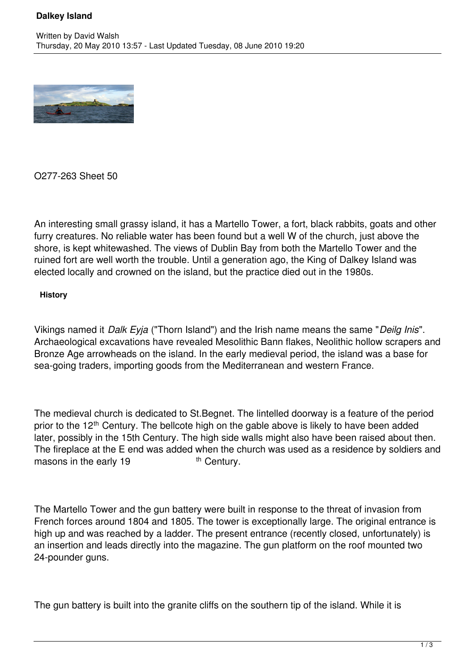# **Dalkey Island**



O277-263 Sheet 50

An interesting small grassy island, it has a Martello Tower, a fort, black rabbits, goats and other furry creatures. No reliable water has been found but a well W of the church, just above the shore, is kept whitewashed. The views of Dublin Bay from both the Martello Tower and the ruined fort are well worth the trouble. Until a generation ago, the King of Dalkey Island was elected locally and crowned on the island, but the practice died out in the 1980s.

#### **History**

Vikings named it *Dalk Eyja* ("Thorn Island") and the Irish name means the same "*Deilg Inis*". Archaeological excavations have revealed Mesolithic Bann flakes, Neolithic hollow scrapers and Bronze Age arrowheads on the island. In the early medieval period, the island was a base for sea-going traders, importing goods from the Mediterranean and western France.

The medieval church is dedicated to St.Begnet. The lintelled doorway is a feature of the period prior to the 12<sup>th</sup> Century. The bellcote high on the gable above is likely to have been added later, possibly in the 15th Century. The high side walls might also have been raised about then. The fireplace at the E end was added when the church was used as a residence by soldiers and masons in the early  $19$  th Century. masons in the early  $19$ 

The Martello Tower and the gun battery were built in response to the threat of invasion from French forces around 1804 and 1805. The tower is exceptionally large. The original entrance is high up and was reached by a ladder. The present entrance (recently closed, unfortunately) is an insertion and leads directly into the magazine. The gun platform on the roof mounted two 24-pounder guns.

The gun battery is built into the granite cliffs on the southern tip of the island. While it is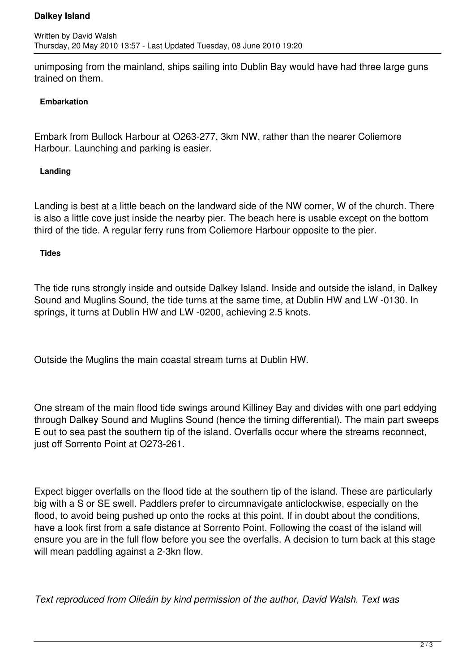## **Dalkey Island**

unimposing from the mainland, ships sailing into Dublin Bay would have had three large guns trained on them.

### **Embarkation**

Embark from Bullock Harbour at O263-277, 3km NW, rather than the nearer Coliemore Harbour. Launching and parking is easier.

#### **Landing**

Landing is best at a little beach on the landward side of the NW corner, W of the church. There is also a little cove just inside the nearby pier. The beach here is usable except on the bottom third of the tide. A regular ferry runs from Coliemore Harbour opposite to the pier.

#### **Tides**

The tide runs strongly inside and outside Dalkey Island. Inside and outside the island, in Dalkey Sound and Muglins Sound, the tide turns at the same time, at Dublin HW and LW -0130. In springs, it turns at Dublin HW and LW -0200, achieving 2.5 knots.

Outside the Muglins the main coastal stream turns at Dublin HW.

One stream of the main flood tide swings around Killiney Bay and divides with one part eddying through Dalkey Sound and Muglins Sound (hence the timing differential). The main part sweeps E out to sea past the southern tip of the island. Overfalls occur where the streams reconnect, just off Sorrento Point at O273-261.

Expect bigger overfalls on the flood tide at the southern tip of the island. These are particularly big with a S or SE swell. Paddlers prefer to circumnavigate anticlockwise, especially on the flood, to avoid being pushed up onto the rocks at this point. If in doubt about the conditions, have a look first from a safe distance at Sorrento Point. Following the coast of the island will ensure you are in the full flow before you see the overfalls. A decision to turn back at this stage will mean paddling against a 2-3kn flow.

*Text reproduced from Oileáin by kind permission of the author, David Walsh. Text was*